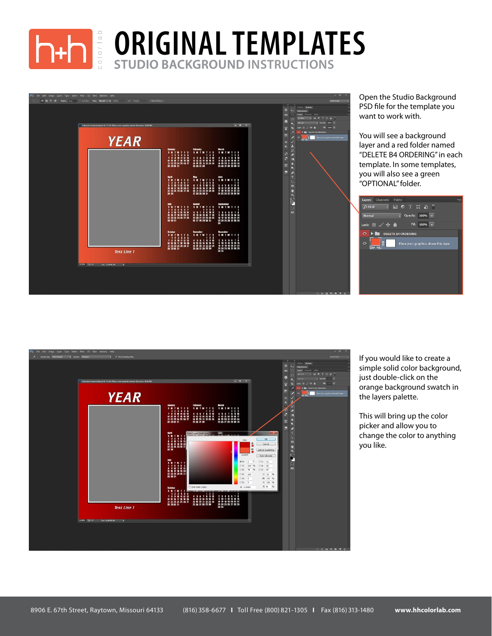

## **STUDIO BACKGROUND INSTRUCTIONS BACKGROUND ORIGINAL TEMPLATES**



Open the Studio Background PSD file for the template you want to work with.

You will see a background layer and a red folder named "DELETE B4 ORDERING" in each template. In some templates, you will also see a green "OPTIONAL" folder.





If you would like to create a simple solid color background, just double-click on the orange background swatch in the layers palette.

This will bring up the color picker and allow you to change the color to anything you like.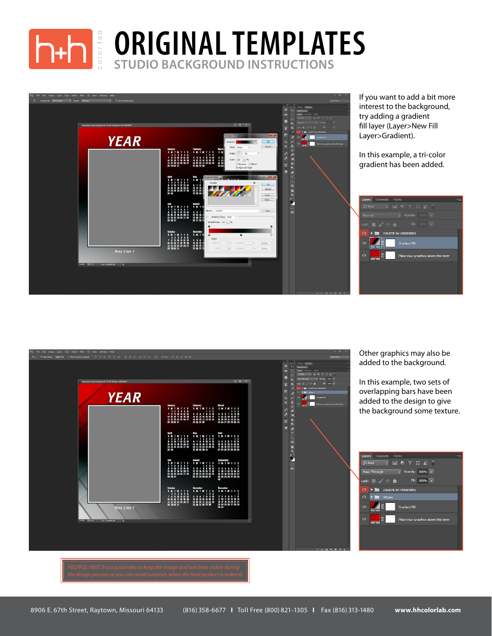

## **STUDIO BACKGROUND INSTRUCTIONS ORIGINAL TEMPLATES**





Other graphics may also be added to the background.

In this example, two sets of overlapping bars have been added to the design to give the background some texture.